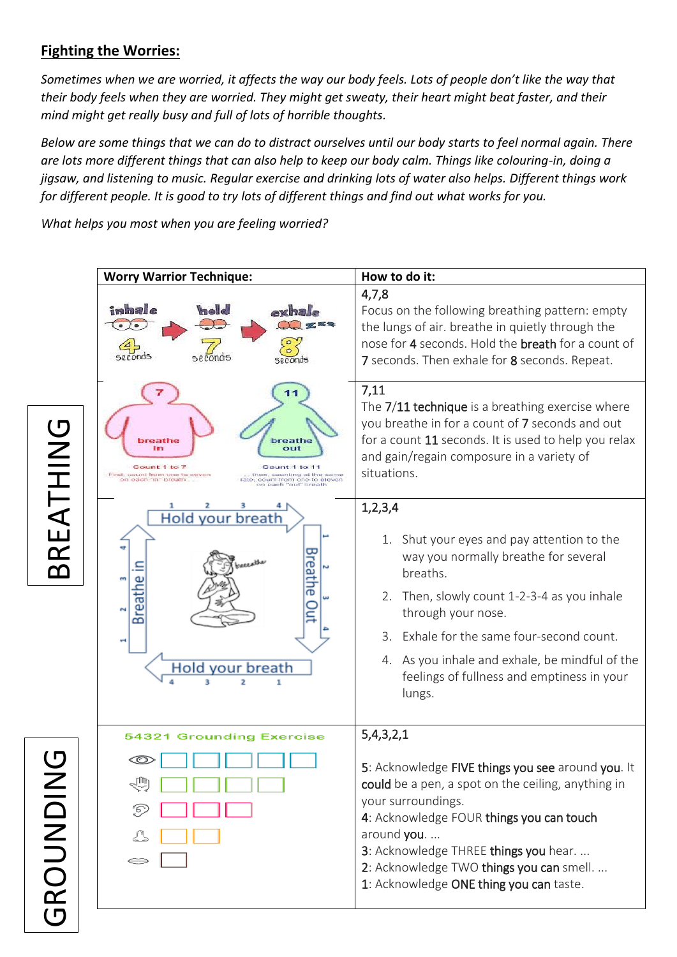## **Fighting the Worries:**

*Sometimes when we are worried, it affects the way our body feels. Lots of people don't like the way that their body feels when they are worried. They might get sweaty, their heart might beat faster, and their mind might get really busy and full of lots of horrible thoughts.* 

*Below are some things that we can do to distract ourselves until our body starts to feel normal again. There are lots more different things that can also help to keep our body calm. Things like colouring-in, doing a jigsaw, and listening to music. Regular exercise and drinking lots of water also helps. Different things work for different people. It is good to try lots of different things and find out what works for you.* 

*What helps you most when you are feeling worried?*